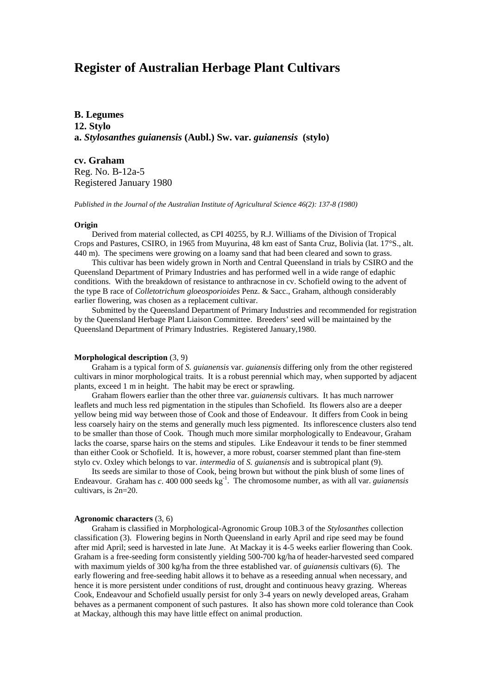# **Register of Australian Herbage Plant Cultivars**

**B. Legumes 12. Stylo a.** *Stylosanthes guianensis* **(Aubl.) Sw. var.** *guianensis* **(stylo)**

**cv. Graham** Reg. No. B-12a-5 Registered January 1980

*Published in the Journal of the Australian Institute of Agricultural Science 46(2): 137-8 (1980)*

## **Origin**

Derived from material collected, as CPI 40255, by R.J. Williams of the Division of Tropical Crops and Pastures, CSIRO, in 1965 from Muyurina, 48 km east of Santa Cruz, Bolivia (lat. 17°S., alt. 440 m). The specimens were growing on a loamy sand that had been cleared and sown to grass.

This cultivar has been widely grown in North and Central Queensland in trials by CSIRO and the Queensland Department of Primary Industries and has performed well in a wide range of edaphic conditions. With the breakdown of resistance to anthracnose in cv. Schofield owing to the advent of the type B race of *Colletotrichum gloeosporioides* Penz. & Sacc., Graham, although considerably earlier flowering, was chosen as a replacement cultivar.

Submitted by the Queensland Department of Primary Industries and recommended for registration by the Queensland Herbage Plant Liaison Committee. Breeders' seed will be maintained by the Queensland Department of Primary Industries. Registered January,1980.

# **Morphological description** (3, 9)

Graham is a typical form of *S. guianensis* var. *guianensis* differing only from the other registered cultivars in minor morphological traits. It is a robust perennial which may, when supported by adjacent plants, exceed 1 m in height. The habit may be erect or sprawling.

Graham flowers earlier than the other three var. *guianensis* cultivars. It has much narrower leaflets and much less red pigmentation in the stipules than Schofield. Its flowers also are a deeper yellow being mid way between those of Cook and those of Endeavour. It differs from Cook in being less coarsely hairy on the stems and generally much less pigmented. Its inflorescence clusters also tend to be smaller than those of Cook. Though much more similar morphologically to Endeavour, Graham lacks the coarse, sparse hairs on the stems and stipules. Like Endeavour it tends to be finer stemmed than either Cook or Schofield. It is, however, a more robust, coarser stemmed plant than fine-stem stylo cv. Oxley which belongs to var. *intermedia* of *S. guianensis* and is subtropical plant (9).

Its seeds are similar to those of Cook, being brown but without the pink blush of some lines of Endeavour. Graham has *c*. 400 000 seeds kg<sup>-1</sup>. The chromosome number, as with all var. *guianensis* cultivars, is 2n=20.

#### **Agronomic characters** (3, 6)

Graham is classified in Morphological-Agronomic Group 10B.3 of the *Stylosanthes* collection classification (3). Flowering begins in North Queensland in early April and ripe seed may be found after mid April; seed is harvested in late June. At Mackay it is 4-5 weeks earlier flowering than Cook. Graham is a free-seeding form consistently yielding 500-700 kg/ha of header-harvested seed compared with maximum yields of 300 kg/ha from the three established var. of *guianensis* cultivars (6). The early flowering and free-seeding habit allows it to behave as a reseeding annual when necessary, and hence it is more persistent under conditions of rust, drought and continuous heavy grazing. Whereas Cook, Endeavour and Schofield usually persist for only 3-4 years on newly developed areas, Graham behaves as a permanent component of such pastures. It also has shown more cold tolerance than Cook at Mackay, although this may have little effect on animal production.